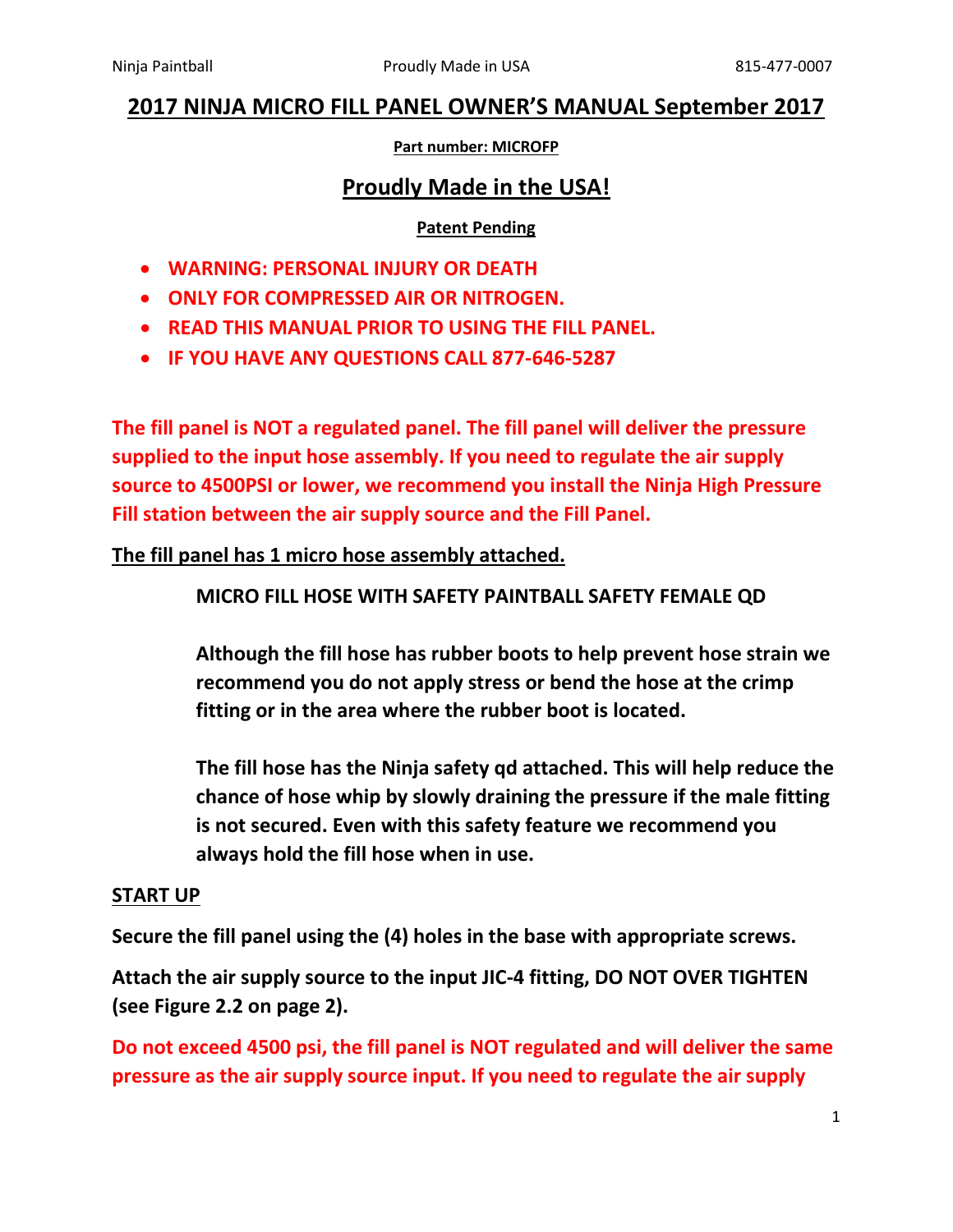# **2017 NINJA MICRO FILL PANEL OWNER'S MANUAL September 2017**

#### **Part number: MICROFP**

## **Proudly Made in the USA!**

#### **Patent Pending**

- **WARNING: PERSONAL INJURY OR DEATH**
- **ONLY FOR COMPRESSED AIR OR NITROGEN.**
- **READ THIS MANUAL PRIOR TO USING THE FILL PANEL.**
- **IF YOU HAVE ANY QUESTIONS CALL 877-646-5287**

**The fill panel is NOT a regulated panel. The fill panel will deliver the pressure supplied to the input hose assembly. If you need to regulate the air supply source to 4500PSI or lower, we recommend you install the Ninja High Pressure Fill station between the air supply source and the Fill Panel.** 

## **The fill panel has 1 micro hose assembly attached.**

## **MICRO FILL HOSE WITH SAFETY PAINTBALL SAFETY FEMALE QD**

**Although the fill hose has rubber boots to help prevent hose strain we recommend you do not apply stress or bend the hose at the crimp fitting or in the area where the rubber boot is located.** 

**The fill hose has the Ninja safety qd attached. This will help reduce the chance of hose whip by slowly draining the pressure if the male fitting is not secured. Even with this safety feature we recommend you always hold the fill hose when in use.** 

#### **START UP**

**Secure the fill panel using the (4) holes in the base with appropriate screws.**

**Attach the air supply source to the input JIC-4 fitting, DO NOT OVER TIGHTEN (see Figure 2.2 on page 2).**

**Do not exceed 4500 psi, the fill panel is NOT regulated and will deliver the same pressure as the air supply source input. If you need to regulate the air supply**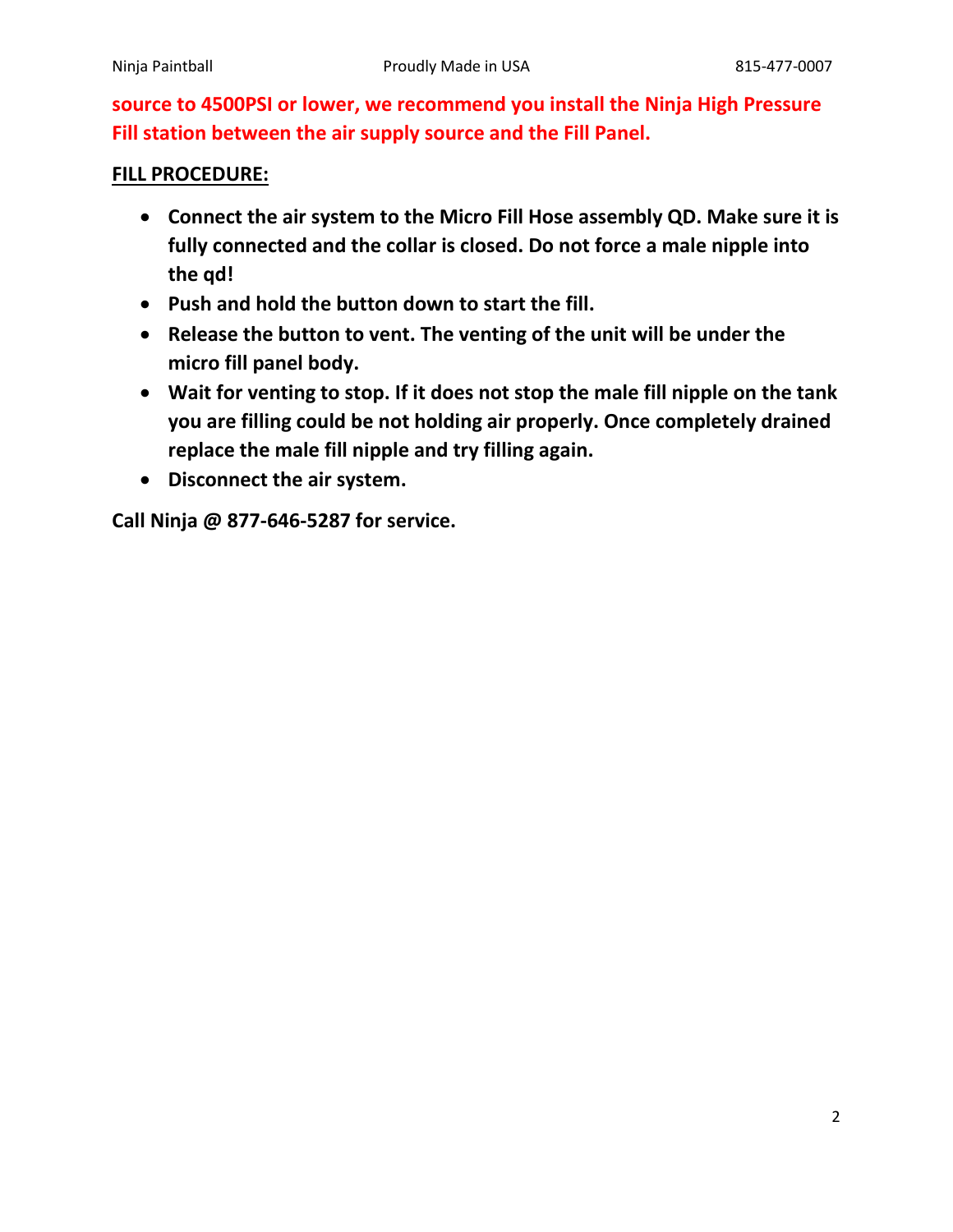**source to 4500PSI or lower, we recommend you install the Ninja High Pressure Fill station between the air supply source and the Fill Panel.** 

## **FILL PROCEDURE:**

- **Connect the air system to the Micro Fill Hose assembly QD. Make sure it is fully connected and the collar is closed. Do not force a male nipple into the qd!**
- **Push and hold the button down to start the fill.**
- **Release the button to vent. The venting of the unit will be under the micro fill panel body.**
- **Wait for venting to stop. If it does not stop the male fill nipple on the tank you are filling could be not holding air properly. Once completely drained replace the male fill nipple and try filling again.**
- **Disconnect the air system.**

**Call Ninja @ 877-646-5287 for service.**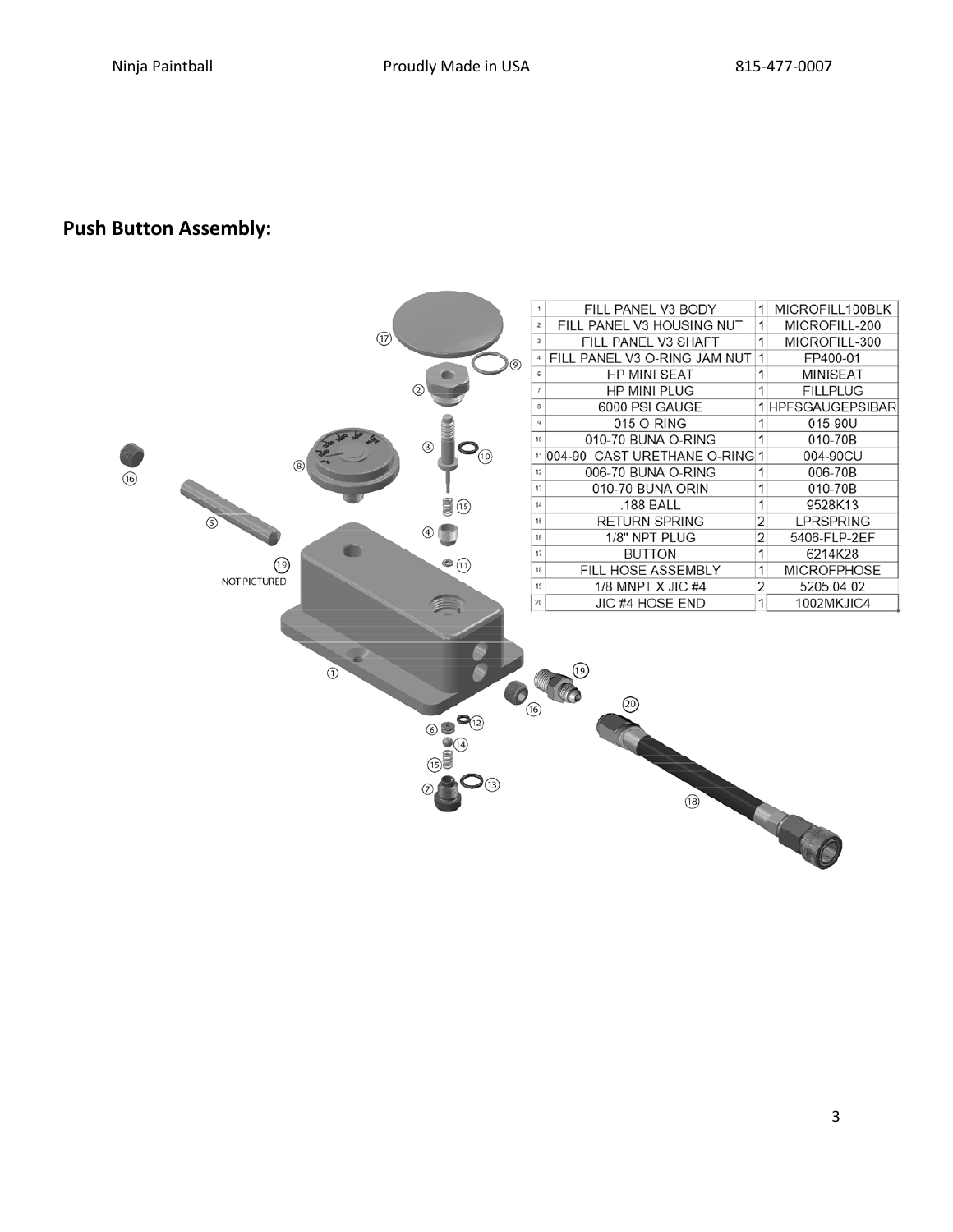## **Push Button Assembly:**

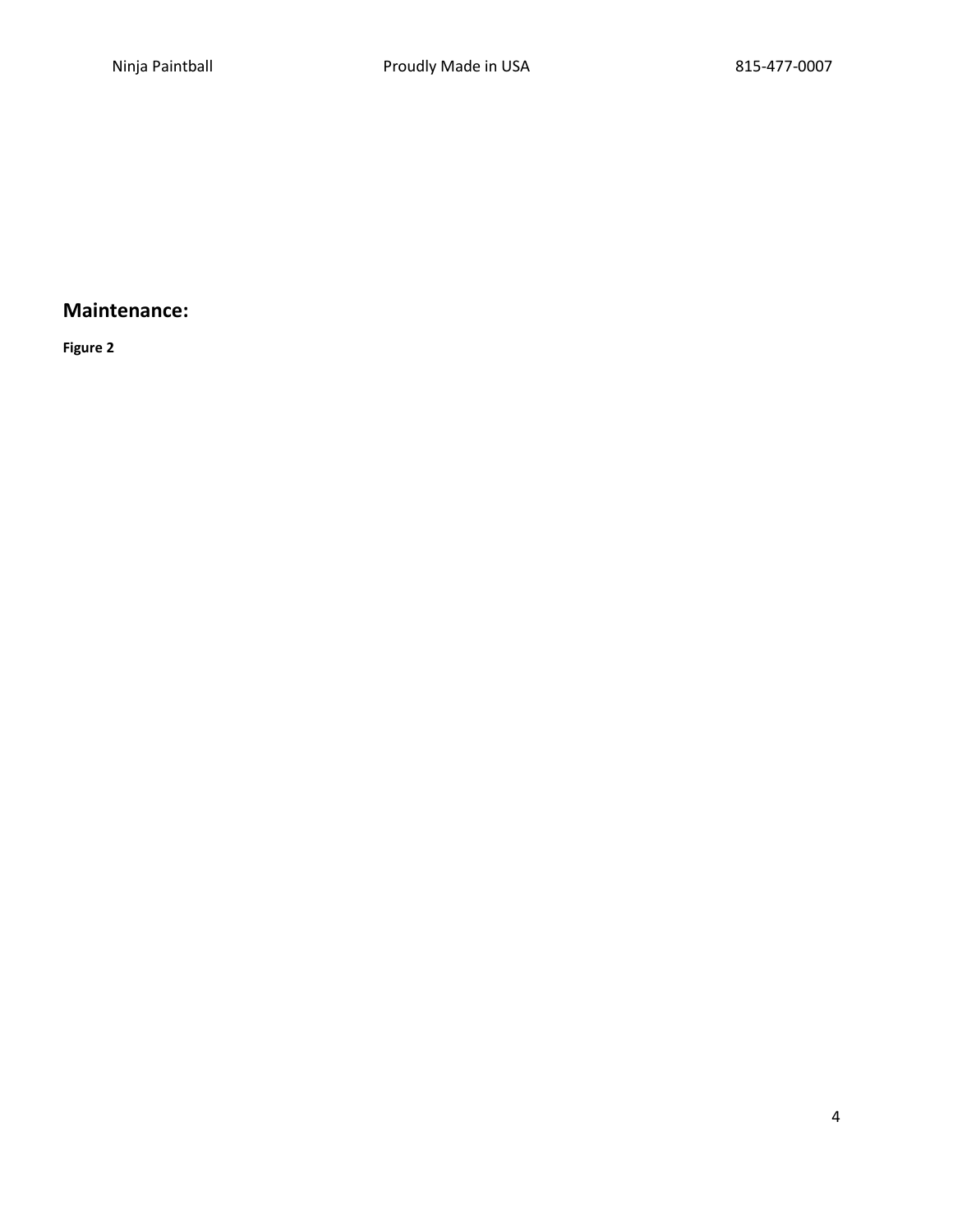## **Maintenance:**

**Figure 2**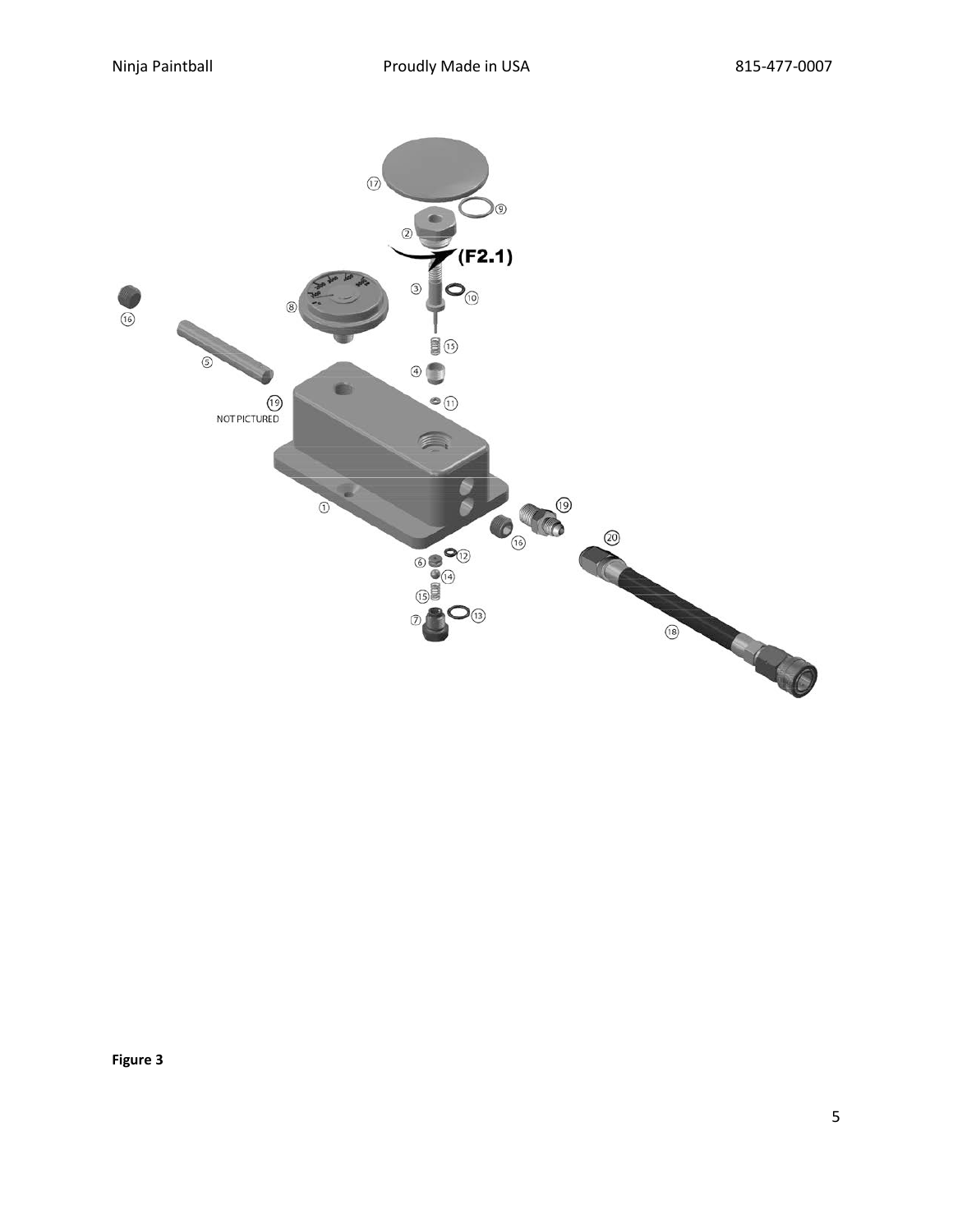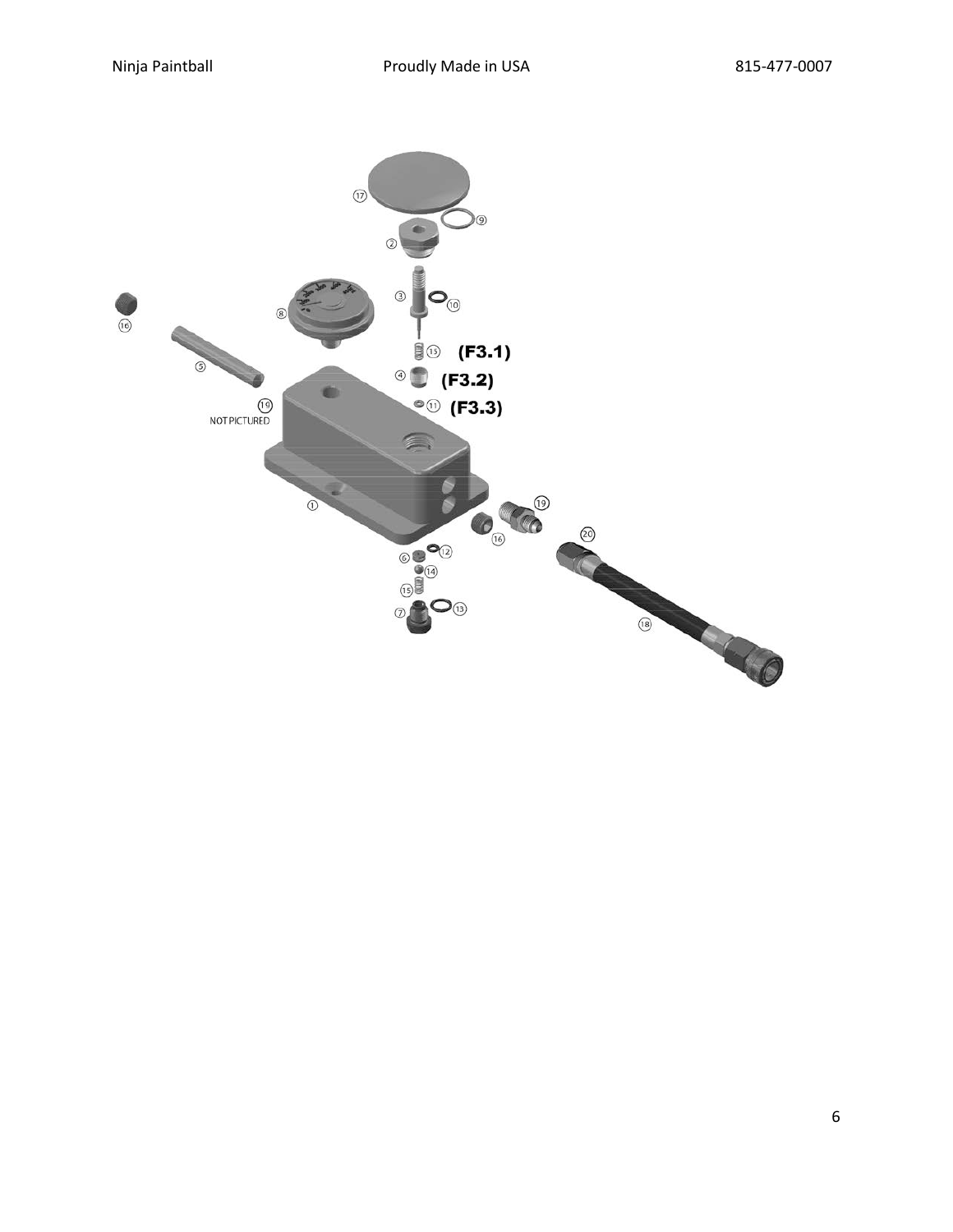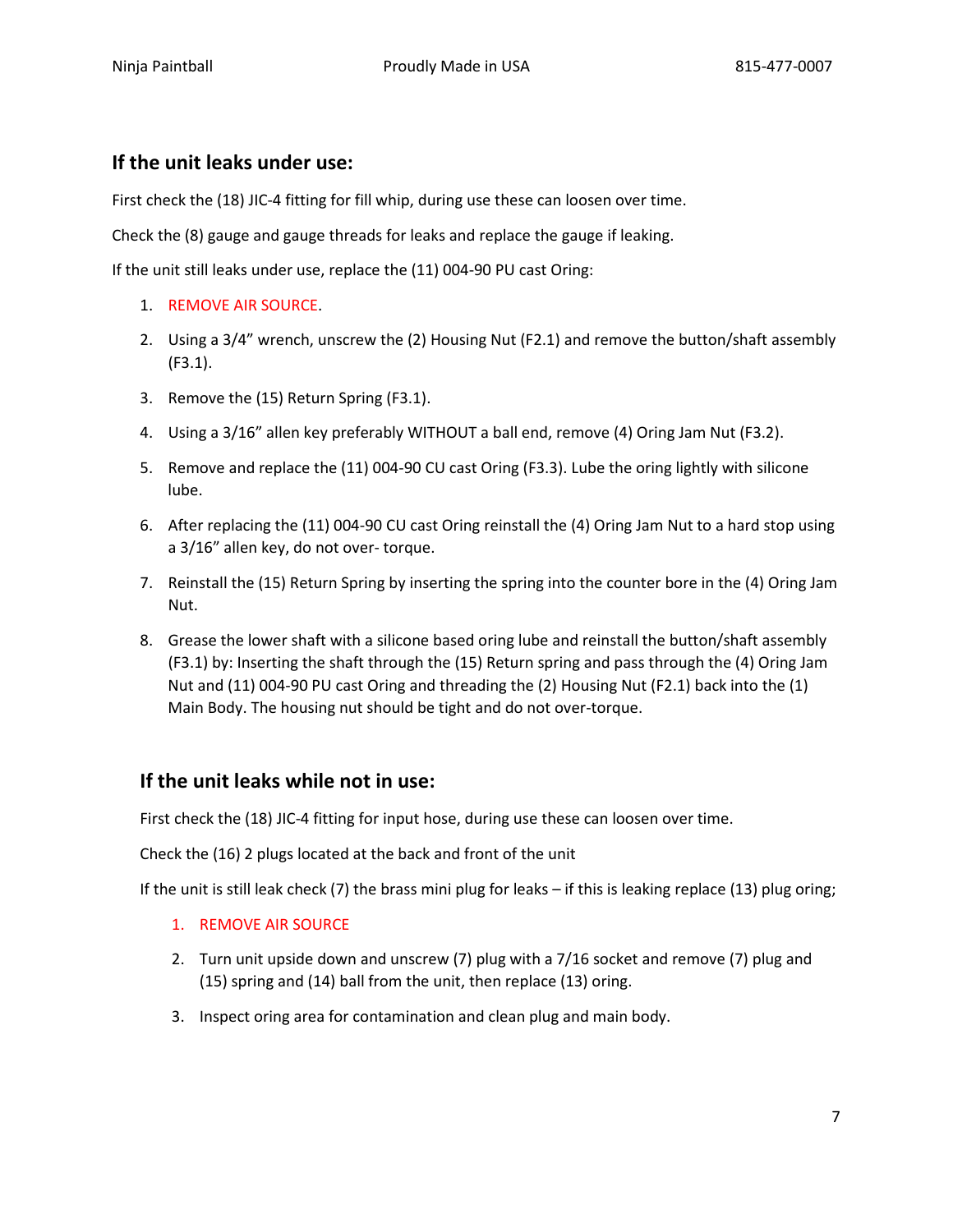### **If the unit leaks under use:**

First check the (18) JIC-4 fitting for fill whip, during use these can loosen over time.

Check the (8) gauge and gauge threads for leaks and replace the gauge if leaking.

If the unit still leaks under use, replace the (11) 004-90 PU cast Oring:

- 1. REMOVE AIR SOURCE.
- 2. Using a 3/4" wrench, unscrew the (2) Housing Nut (F2.1) and remove the button/shaft assembly (F3.1).
- 3. Remove the (15) Return Spring (F3.1).
- 4. Using a 3/16" allen key preferably WITHOUT a ball end, remove (4) Oring Jam Nut (F3.2).
- 5. Remove and replace the (11) 004-90 CU cast Oring (F3.3). Lube the oring lightly with silicone lube.
- 6. After replacing the (11) 004-90 CU cast Oring reinstall the (4) Oring Jam Nut to a hard stop using a 3/16" allen key, do not over- torque.
- 7. Reinstall the (15) Return Spring by inserting the spring into the counter bore in the (4) Oring Jam Nut.
- 8. Grease the lower shaft with a silicone based oring lube and reinstall the button/shaft assembly (F3.1) by: Inserting the shaft through the (15) Return spring and pass through the (4) Oring Jam Nut and (11) 004-90 PU cast Oring and threading the (2) Housing Nut (F2.1) back into the (1) Main Body. The housing nut should be tight and do not over-torque.

### **If the unit leaks while not in use:**

First check the (18) JIC-4 fitting for input hose, during use these can loosen over time.

Check the (16) 2 plugs located at the back and front of the unit

If the unit is still leak check (7) the brass mini plug for leaks – if this is leaking replace (13) plug oring;

- 1. REMOVE AIR SOURCE
- 2. Turn unit upside down and unscrew (7) plug with a 7/16 socket and remove (7) plug and (15) spring and (14) ball from the unit, then replace (13) oring.
- 3. Inspect oring area for contamination and clean plug and main body.